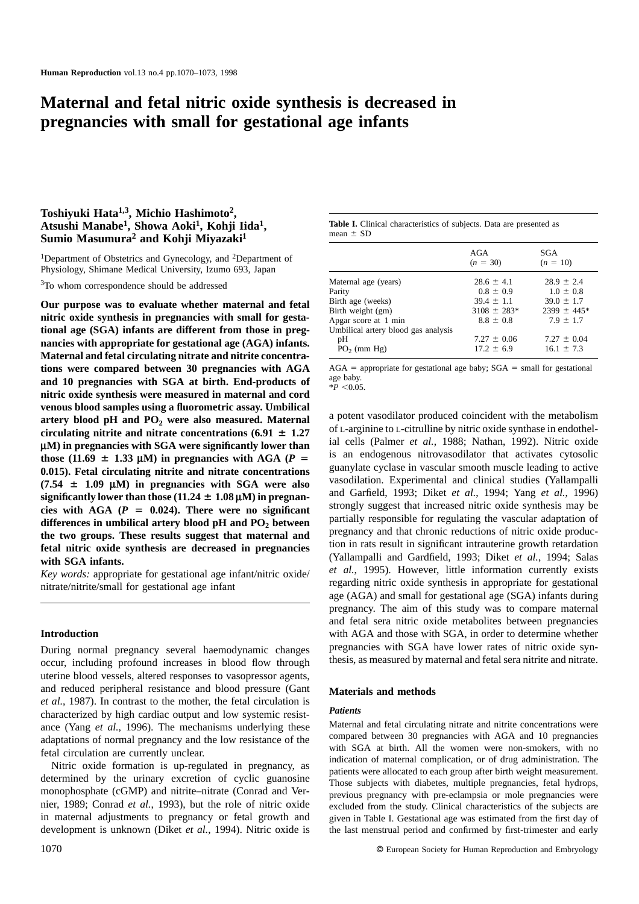# **Maternal and fetal nitric oxide synthesis is decreased in pregnancies with small for gestational age infants**

## **Toshiyuki Hata1,3, Michio Hashimoto2, Atsushi Manabe1, Showa Aoki1, Kohji Iida1, Sumio Masumura2 and Kohji Miyazaki1**

<sup>1</sup>Department of Obstetrics and Gynecology, and <sup>2</sup>Department of Physiology, Shimane Medical University, Izumo 693, Japan

<sup>3</sup>To whom correspondence should be addressed

**Our purpose was to evaluate whether maternal and fetal nitric oxide synthesis in pregnancies with small for gestational age (SGA) infants are different from those in pregnancies with appropriate for gestational age (AGA) infants. Maternal and fetal circulating nitrate and nitrite concentrations were compared between 30 pregnancies with AGA and 10 pregnancies with SGA at birth. End-products of nitric oxide synthesis were measured in maternal and cord venous blood samples using a fluorometric assay. Umbilical** artery blood pH and PO<sub>2</sub> were also measured. Maternal circulating nitrite and nitrate concentrations  $(6.91 \pm 1.27)$ **µM) in pregnancies with SGA were significantly lower than** those (11.69  $\pm$  1.33  $\mu$ M) in pregnancies with AGA (*P* = **0.015). Fetal circulating nitrite and nitrate concentrations**  $(7.54 \pm 1.09 \mu M)$  in pregnancies with SGA were also significantly lower than those  $(11.24 \pm 1.08 \,\mu\text{M})$  in pregnancies with AGA  $(P = 0.024)$ . There were no significant differences in umbilical artery blood pH and PO<sub>2</sub> between **the two groups. These results suggest that maternal and fetal nitric oxide synthesis are decreased in pregnancies with SGA infants.**

*Key words:* appropriate for gestational age infant/nitric oxide/ nitrate/nitrite/small for gestational age infant

## **Introduction**

During normal pregnancy several haemodynamic changes occur, including profound increases in blood flow through uterine blood vessels, altered responses to vasopressor agents, and reduced peripheral resistance and blood pressure (Gant *et al.*, 1987). In contrast to the mother, the fetal circulation is characterized by high cardiac output and low systemic resistance (Yang *et al.*, 1996). The mechanisms underlying these adaptations of normal pregnancy and the low resistance of the fetal circulation are currently unclear.

Nitric oxide formation is up-regulated in pregnancy, as determined by the urinary excretion of cyclic guanosine monophosphate (cGMP) and nitrite–nitrate (Conrad and Vernier, 1989; Conrad *et al.*, 1993), but the role of nitric oxide in maternal adjustments to pregnancy or fetal growth and development is unknown (Diket *et al.*, 1994). Nitric oxide is

|               |  | Table I. Clinical characteristics of subjects. Data are presented as |  |  |  |
|---------------|--|----------------------------------------------------------------------|--|--|--|
| mean $\pm$ SD |  |                                                                      |  |  |  |

|                                     | AGA<br>$(n = 30)$ | SGA<br>$(n = 10)$ |
|-------------------------------------|-------------------|-------------------|
| Maternal age (years)                | $28.6 \pm 4.1$    | $28.9 \pm 2.4$    |
| Parity                              | $0.8 \pm 0.9$     | $1.0 \pm 0.8$     |
| Birth age (weeks)                   | $39.4 \pm 1.1$    | $39.0 \pm 1.7$    |
| Birth weight (gm)                   | $3108 \pm 283*$   | $2399 \pm 445*$   |
| Apgar score at 1 min                | $8.8 \pm 0.8$     | $7.9 \pm 1.7$     |
| Umbilical artery blood gas analysis |                   |                   |
| pH                                  | $7.27 \pm 0.06$   | $7.27 \pm 0.04$   |
| $PO_2$ (mm Hg)                      | $17.2 \pm 6.9$    | $16.1 \pm 7.3$    |

 $AGA$  = appropriate for gestational age baby;  $SGA$  = small for gestational age baby.

 $*P < 0.05$ 

a potent vasodilator produced coincident with the metabolism of L-arginine to L-citrulline by nitric oxide synthase in endothelial cells (Palmer *et al.*, 1988; Nathan, 1992). Nitric oxide is an endogenous nitrovasodilator that activates cytosolic guanylate cyclase in vascular smooth muscle leading to active vasodilation. Experimental and clinical studies (Yallampalli and Garfield, 1993; Diket *et al.*, 1994; Yang *et al.*, 1996) strongly suggest that increased nitric oxide synthesis may be partially responsible for regulating the vascular adaptation of pregnancy and that chronic reductions of nitric oxide production in rats result in significant intrauterine growth retardation (Yallampalli and Gardfield, 1993; Diket *et al.*, 1994; Salas *et al.*, 1995). However, little information currently exists regarding nitric oxide synthesis in appropriate for gestational age (AGA) and small for gestational age (SGA) infants during pregnancy. The aim of this study was to compare maternal and fetal sera nitric oxide metabolites between pregnancies with AGA and those with SGA, in order to determine whether pregnancies with SGA have lower rates of nitric oxide synthesis, as measured by maternal and fetal sera nitrite and nitrate.

#### **Materials and methods**

#### *Patients*

Maternal and fetal circulating nitrate and nitrite concentrations were compared between 30 pregnancies with AGA and 10 pregnancies with SGA at birth. All the women were non-smokers, with no indication of maternal complication, or of drug administration. The patients were allocated to each group after birth weight measurement. Those subjects with diabetes, multiple pregnancies, fetal hydrops, previous pregnancy with pre-eclampsia or mole pregnancies were excluded from the study. Clinical characteristics of the subjects are given in Table I. Gestational age was estimated from the first day of the last menstrual period and confirmed by first-trimester and early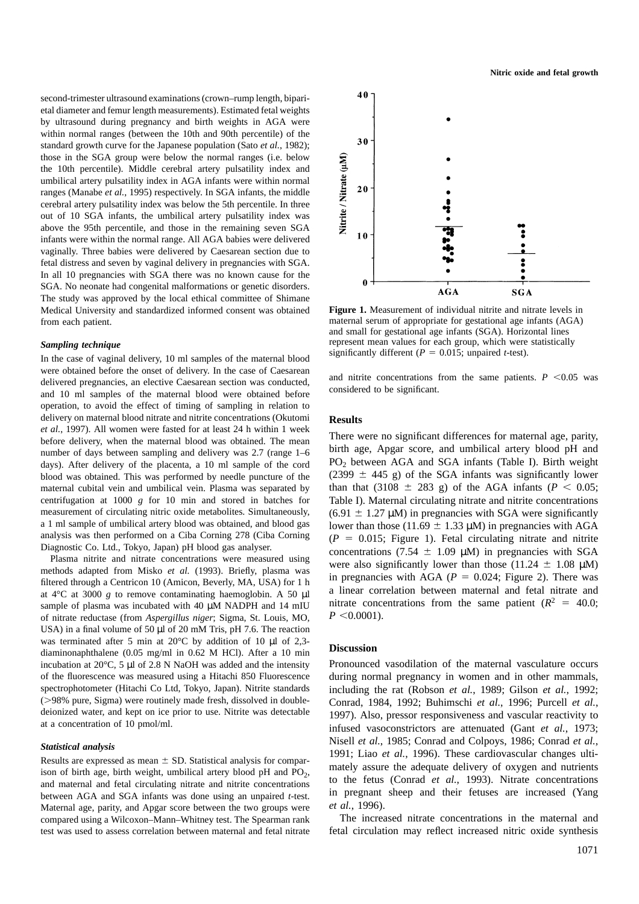second-trimester ultrasound examinations (crown–rump length, biparietal diameter and femur length measurements). Estimated fetal weights by ultrasound during pregnancy and birth weights in AGA were within normal ranges (between the 10th and 90th percentile) of the standard growth curve for the Japanese population (Sato *et al.*, 1982); those in the SGA group were below the normal ranges (i.e. below the 10th percentile). Middle cerebral artery pulsatility index and umbilical artery pulsatility index in AGA infants were within normal ranges (Manabe *et al.*, 1995) respectively. In SGA infants, the middle cerebral artery pulsatility index was below the 5th percentile. In three out of 10 SGA infants, the umbilical artery pulsatility index was above the 95th percentile, and those in the remaining seven SGA infants were within the normal range. All AGA babies were delivered vaginally. Three babies were delivered by Caesarean section due to fetal distress and seven by vaginal delivery in pregnancies with SGA. In all 10 pregnancies with SGA there was no known cause for the SGA. No neonate had congenital malformations or genetic disorders. The study was approved by the local ethical committee of Shimane Medical University and standardized informed consent was obtained from each patient.

#### *Sampling technique*

In the case of vaginal delivery, 10 ml samples of the maternal blood were obtained before the onset of delivery. In the case of Caesarean delivered pregnancies, an elective Caesarean section was conducted, and 10 ml samples of the maternal blood were obtained before operation, to avoid the effect of timing of sampling in relation to delivery on maternal blood nitrate and nitrite concentrations (Okutomi *et al.*, 1997). All women were fasted for at least 24 h within 1 week before delivery, when the maternal blood was obtained. The mean number of days between sampling and delivery was 2.7 (range 1–6 days). After delivery of the placenta, a 10 ml sample of the cord blood was obtained. This was performed by needle puncture of the maternal cubital vein and umbilical vein. Plasma was separated by centrifugation at 1000 *g* for 10 min and stored in batches for measurement of circulating nitric oxide metabolites. Simultaneously, a 1 ml sample of umbilical artery blood was obtained, and blood gas analysis was then performed on a Ciba Corning 278 (Ciba Corning Diagnostic Co. Ltd., Tokyo, Japan) pH blood gas analyser.

Plasma nitrite and nitrate concentrations were measured using methods adapted from Misko *et al.* (1993). Briefly, plasma was filtered through a Centricon 10 (Amicon, Beverly, MA, USA) for 1 h at  $4^{\circ}$ C at 3000 *g* to remove contaminating haemoglobin. A 50 µl sample of plasma was incubated with 40  $\mu$ M NADPH and 14 mIU of nitrate reductase (from *Aspergillus niger*; Sigma, St. Louis, MO, USA) in a final volume of 50 µl of 20 mM Tris, pH 7.6. The reaction was terminated after 5 min at 20°C by addition of 10  $\mu$ l of 2,3diaminonaphthalene (0.05 mg/ml in 0.62 M HCl). After a 10 min incubation at 20°C, 5 µl of 2.8 N NaOH was added and the intensity of the fluorescence was measured using a Hitachi 850 Fluorescence spectrophotometer (Hitachi Co Ltd, Tokyo, Japan). Nitrite standards (>98% pure, Sigma) were routinely made fresh, dissolved in doubledeionized water, and kept on ice prior to use. Nitrite was detectable at a concentration of 10 pmol/ml.

#### *Statistical analysis*

Results are expressed as mean  $\pm$  SD. Statistical analysis for comparison of birth age, birth weight, umbilical artery blood pH and  $PO<sub>2</sub>$ , and maternal and fetal circulating nitrate and nitrite concentrations between AGA and SGA infants was done using an unpaired *t*-test. Maternal age, parity, and Apgar score between the two groups were compared using a Wilcoxon–Mann–Whitney test. The Spearman rank test was used to assess correlation between maternal and fetal nitrate



**Figure 1.** Measurement of individual nitrite and nitrate levels in maternal serum of appropriate for gestational age infants (AGA) and small for gestational age infants (SGA). Horizontal lines represent mean values for each group, which were statistically significantly different ( $P = 0.015$ ; unpaired *t*-test).

and nitrite concentrations from the same patients.  $P \leq 0.05$  was considered to be significant.

### **Results**

There were no significant differences for maternal age, parity, birth age, Apgar score, and umbilical artery blood pH and PO2 between AGA and SGA infants (Table I). Birth weight (2399  $\pm$  445 g) of the SGA infants was significantly lower than that (3108  $\pm$  283 g) of the AGA infants (*P* < 0.05; Table I). Maternal circulating nitrate and nitrite concentrations  $(6.91 \pm 1.27 \,\mu\text{M})$  in pregnancies with SGA were significantly lower than those (11.69  $\pm$  1.33 µM) in pregnancies with AGA  $(P = 0.015$ ; Figure 1). Fetal circulating nitrate and nitrite concentrations (7.54  $\pm$  1.09 µM) in pregnancies with SGA were also significantly lower than those (11.24  $\pm$  1.08  $\mu$ M) in pregnancies with AGA ( $P = 0.024$ ; Figure 2). There was a linear correlation between maternal and fetal nitrate and nitrate concentrations from the same patient  $(R^2 = 40.0;$  $P \leq 0.0001$ .

#### **Discussion**

Pronounced vasodilation of the maternal vasculature occurs during normal pregnancy in women and in other mammals, including the rat (Robson *et al.*, 1989; Gilson *et al.*, 1992; Conrad, 1984, 1992; Buhimschi *et al.*, 1996; Purcell *et al.*, 1997). Also, pressor responsiveness and vascular reactivity to infused vasoconstrictors are attenuated (Gant *et al.*, 1973; Nisell *et al.*, 1985; Conrad and Colpoys, 1986; Conrad *et al.*, 1991; Liao *et al.*, 1996). These cardiovascular changes ultimately assure the adequate delivery of oxygen and nutrients to the fetus (Conrad *et al.*, 1993). Nitrate concentrations in pregnant sheep and their fetuses are increased (Yang *et al.*, 1996).

The increased nitrate concentrations in the maternal and fetal circulation may reflect increased nitric oxide synthesis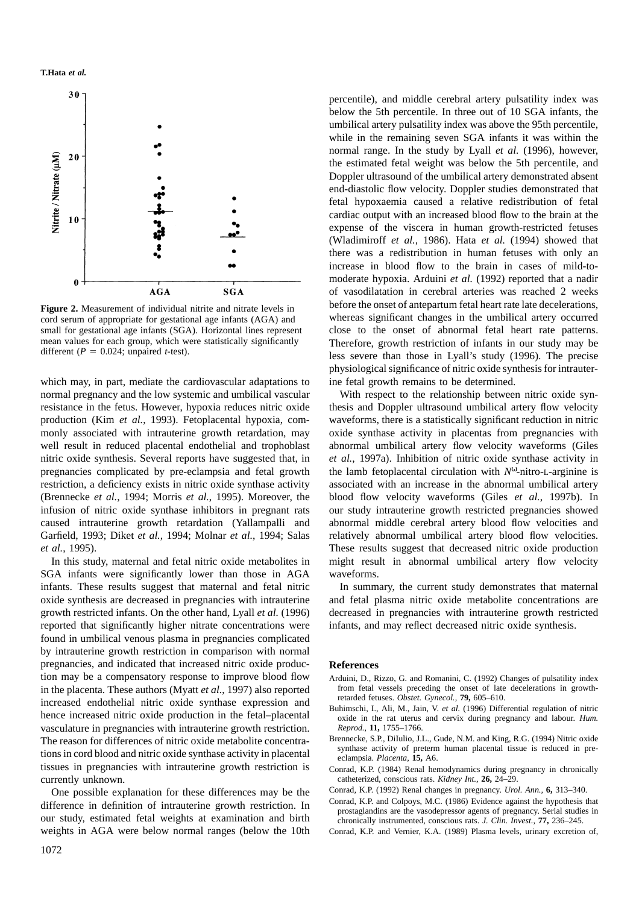#### **T.Hata** *et al.*



**Figure 2.** Measurement of individual nitrite and nitrate levels in cord serum of appropriate for gestational age infants (AGA) and small for gestational age infants (SGA). Horizontal lines represent mean values for each group, which were statistically significantly different ( $P = 0.024$ ; unpaired *t*-test).

which may, in part, mediate the cardiovascular adaptations to normal pregnancy and the low systemic and umbilical vascular resistance in the fetus. However, hypoxia reduces nitric oxide production (Kim *et al.*, 1993). Fetoplacental hypoxia, commonly associated with intrauterine growth retardation, may well result in reduced placental endothelial and trophoblast nitric oxide synthesis. Several reports have suggested that, in pregnancies complicated by pre-eclampsia and fetal growth restriction, a deficiency exists in nitric oxide synthase activity (Brennecke *et al.*, 1994; Morris *et al.*, 1995). Moreover, the infusion of nitric oxide synthase inhibitors in pregnant rats caused intrauterine growth retardation (Yallampalli and Garfield, 1993; Diket *et al.*, 1994; Molnar *et al.*, 1994; Salas *et al.*, 1995).

In this study, maternal and fetal nitric oxide metabolites in SGA infants were significantly lower than those in AGA infants. These results suggest that maternal and fetal nitric oxide synthesis are decreased in pregnancies with intrauterine growth restricted infants. On the other hand, Lyall *et al.* (1996) reported that significantly higher nitrate concentrations were found in umbilical venous plasma in pregnancies complicated by intrauterine growth restriction in comparison with normal pregnancies, and indicated that increased nitric oxide production may be a compensatory response to improve blood flow in the placenta. These authors (Myatt *et al.*, 1997) also reported increased endothelial nitric oxide synthase expression and hence increased nitric oxide production in the fetal–placental vasculature in pregnancies with intrauterine growth restriction. The reason for differences of nitric oxide metabolite concentrations in cord blood and nitric oxide synthase activity in placental tissues in pregnancies with intrauterine growth restriction is currently unknown.

One possible explanation for these differences may be the difference in definition of intrauterine growth restriction. In our study, estimated fetal weights at examination and birth weights in AGA were below normal ranges (below the 10th

percentile), and middle cerebral artery pulsatility index was below the 5th percentile. In three out of 10 SGA infants, the umbilical artery pulsatility index was above the 95th percentile, while in the remaining seven SGA infants it was within the normal range. In the study by Lyall *et al.* (1996), however, the estimated fetal weight was below the 5th percentile, and Doppler ultrasound of the umbilical artery demonstrated absent end-diastolic flow velocity. Doppler studies demonstrated that fetal hypoxaemia caused a relative redistribution of fetal cardiac output with an increased blood flow to the brain at the expense of the viscera in human growth-restricted fetuses (Wladimiroff *et al.*, 1986). Hata *et al.* (1994) showed that there was a redistribution in human fetuses with only an increase in blood flow to the brain in cases of mild-tomoderate hypoxia. Arduini *et al.* (1992) reported that a nadir of vasodilatation in cerebral arteries was reached 2 weeks before the onset of antepartum fetal heart rate late decelerations, whereas significant changes in the umbilical artery occurred close to the onset of abnormal fetal heart rate patterns. Therefore, growth restriction of infants in our study may be less severe than those in Lyall's study (1996). The precise physiological significance of nitric oxide synthesis for intrauterine fetal growth remains to be determined.

With respect to the relationship between nitric oxide synthesis and Doppler ultrasound umbilical artery flow velocity waveforms, there is a statistically significant reduction in nitric oxide synthase activity in placentas from pregnancies with abnormal umbilical artery flow velocity waveforms (Giles *et al.*, 1997a). Inhibition of nitric oxide synthase activity in the lamb fetoplacental circulation with *N*ω-nitro-L-arginine is associated with an increase in the abnormal umbilical artery blood flow velocity waveforms (Giles *et al.*, 1997b). In our study intrauterine growth restricted pregnancies showed abnormal middle cerebral artery blood flow velocities and relatively abnormal umbilical artery blood flow velocities. These results suggest that decreased nitric oxide production might result in abnormal umbilical artery flow velocity waveforms.

In summary, the current study demonstrates that maternal and fetal plasma nitric oxide metabolite concentrations are decreased in pregnancies with intrauterine growth restricted infants, and may reflect decreased nitric oxide synthesis.

## **References**

- Arduini, D., Rizzo, G. and Romanini, C. (1992) Changes of pulsatility index from fetal vessels preceding the onset of late decelerations in growthretarded fetuses. *Obstet. Gynecol.*, **79,** 605–610.
- Buhimschi, I., Ali, M., Jain, V. *et al.* (1996) Differential regulation of nitric oxide in the rat uterus and cervix during pregnancy and labour. *Hum. Reprod.*, **11,** 1755–1766.
- Brennecke, S.P., DiIulio, J.L., Gude, N.M. and King, R.G. (1994) Nitric oxide synthase activity of preterm human placental tissue is reduced in preeclampsia. *Placenta*, **15,** A6.
- Conrad, K.P. (1984) Renal hemodynamics during pregnancy in chronically catheterized, conscious rats. *Kidney Int.*, **26,** 24–29.
- Conrad, K.P. (1992) Renal changes in pregnancy. *Urol. Ann.*, **6,** 313–340.
- Conrad, K.P. and Colpoys, M.C. (1986) Evidence against the hypothesis that prostaglandins are the vasodepressor agents of pregnancy. Serial studies in chronically instrumented, conscious rats. *J. Clin. Invest.*, **77,** 236–245.
- Conrad, K.P. and Vernier, K.A. (1989) Plasma levels, urinary excretion of,